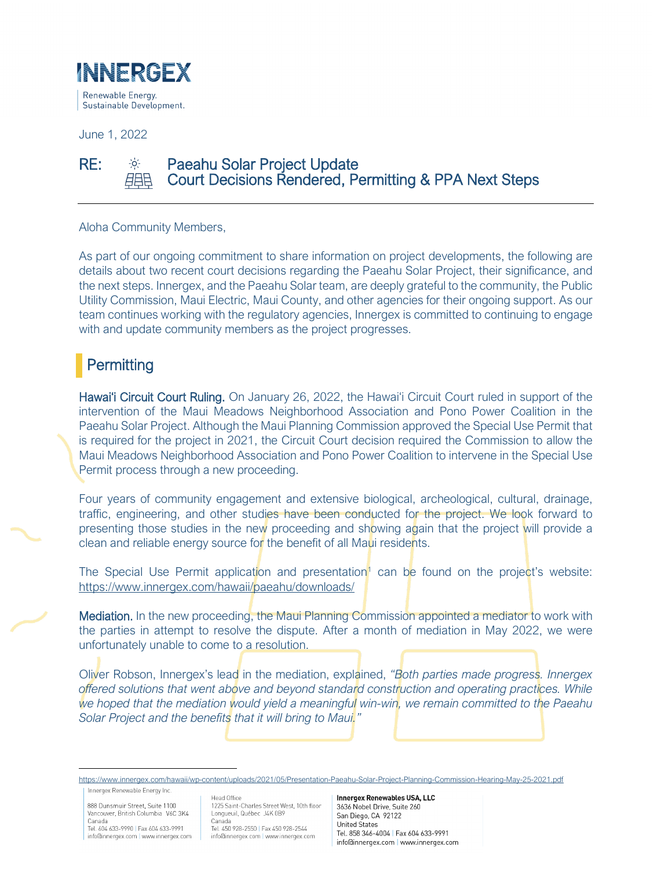

June 1, 2022

#### RE:  $\frac{1}{20}$  Paeahu Solar Project Update Court Decisions Rendered, Permitting & PPA Next Steps 自自身

Aloha Community Members,

As part of our ongoing commitment to share information on project developments, the following are details about two recent court decisions regarding the Paeahu Solar Project, their significance, and the next steps. Innergex, and the Paeahu Solar team, are deeply grateful to the community, the Public Utility Commission, Maui Electric, Maui County, and other agencies for their ongoing support. As our team continues working with the regulatory agencies, Innergex is committed to continuing to engage with and update community members as the project progresses.

## **Permitting**

Ï

Hawai'i Circuit Court Ruling. On January 26, 2022, the Hawai'i Circuit Court ruled in support of the intervention of the Maui Meadows Neighborhood Association and Pono Power Coalition in the Paeahu Solar Project. Although the Maui Planning Commission approved the Special Use Permit that is required for the project in 2021, the Circuit Court decision required the Commission to allow the Maui Meadows Neighborhood Association and Pono Power Coalition to intervene in the Special Use Permit process through a new proceeding.

Four years of community engagement and extensive biological, archeological, cultural, drainage, traffic, engineering, and other studies have been conducted for the project. We look forward to presenting those studies in the new proceeding and showing again that the project will provide a clean and reliable energy source for the benefit of all Maui residents.

The Special Use Permit application and presentation<sup>[1](#page-0-0)</sup> can be found on the project's website: <https://www.innergex.com/hawaii/paeahu/downloads/>

Mediation. In the new proceeding, the Maui Planning Commission appointed a mediator to work with the parties in attempt to resolve the dispute. After a month of mediation in May 2022, we were unfortunately unable to come to a resolution.

Oliver Robson, Innergex's lead in the mediation, explained, *"Both parties made progress. Innergex offered solutions that went above and beyond standard construction and operating practices. While we hoped that the mediation would yield a meaningful win-win, we remain committed to the Paeahu Solar Project and the benefits that it will bring to Maui."*

Innergex Renewable Energy Inc.

888 Dunsmuir Street, Suite 1100 Vancouver, British Columbia V6C 3K4 Canada

Tel. 604 633-9990 | Fax 604 633-9991 info@innergex.com | www.innergex.com

Head Office 1225 Saint-Charles Street West, 10th floor Longueuil, Québec J4K 0B9 Canada Tel. 450 928-2550 | Fax 450 928-2544 info@innergex.com | www.innergex.com

**Innergex Renewables USA, LLC** 3636 Nobel Drive Suite 260 San Diego, CA 92122 **United States** Tel 858 346-4004 | Fax 604 633-9991 info@innergex.com | www.innergex.com

<span id="page-0-0"></span><https://www.innergex.com/hawaii/wp-content/uploads/2021/05/Presentation-Paeahu-Solar-Project-Planning-Commission-Hearing-May-25-2021.pdf>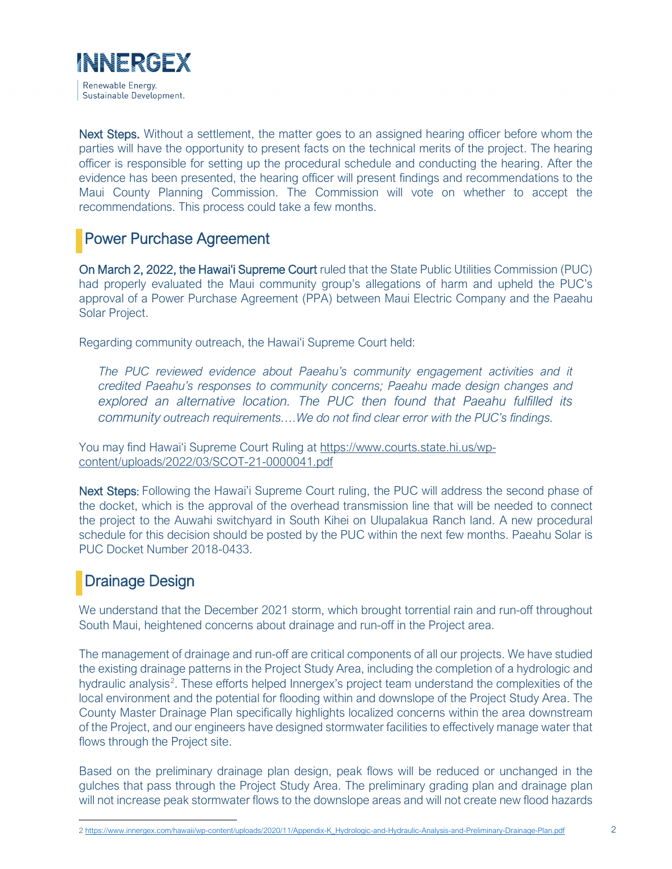

Next Steps. Without a settlement, the matter goes to an assigned hearing officer before whom the parties will have the opportunity to present facts on the technical merits of the project. The hearing officer is responsible for setting up the procedural schedule and conducting the hearing. After the evidence has been presented, the hearing officer will present findings and recommendations to the Maui County Planning Commission. The Commission will vote on whether to accept the recommendations. This process could take a few months.

### Power Purchase Agreement

On March 2, 2022, the Hawai'i Supreme Court ruled that the State Public Utilities Commission (PUC) had properly evaluated the Maui community group's allegations of harm and upheld the PUC's approval of a Power Purchase Agreement (PPA) between Maui Electric Company and the Paeahu Solar Project.

Regarding community outreach, the Hawai'i Supreme Court held:

*The PUC reviewed evidence about Paeahu's community engagement activities and it credited Paeahu's responses to community concerns; Paeahu made design changes and explored an alternative location. The PUC then found that Paeahu fulfilled its community outreach requirements….We do not find clear error with the PUC's findings.* 

You may find Hawai'i Supreme Court Ruling at [https://www.courts.state.hi.us/wp](https://www.courts.state.hi.us/wp-content/uploads/2022/03/SCOT-21-0000041.pdf)[content/uploads/2022/03/SCOT-21-0000041.pdf](https://www.courts.state.hi.us/wp-content/uploads/2022/03/SCOT-21-0000041.pdf) 

Next Steps: Following the Hawai'i Supreme Court ruling, the PUC will address the second phase of the docket, which is the approval of the overhead transmission line that will be needed to connect the project to the Auwahi switchyard in South Kihei on Ulupalakua Ranch land. A new procedural schedule for this decision should be posted by the PUC within the next few months. Paeahu Solar is PUC Docket Number 2018-0433.

## Drainage Design

We understand that the December 2021 storm, which brought torrential rain and run-off throughout South Maui, heightened concerns about drainage and run-off in the Project area.

The management of drainage and run-off are critical components of all our projects. We have studied the existing drainage patterns in the Project Study Area, including the completion of a hydrologic and hydraulic analysis<sup>[2](#page-1-0)</sup>. These efforts helped Innergex's project team understand the complexities of the local environment and the potential for flooding within and downslope of the Project Study Area. The County Master Drainage Plan specifically highlights localized concerns within the area downstream of the Project, and our engineers have designed stormwater facilities to effectively manage water that flows through the Project site.

Based on the preliminary drainage plan design, peak flows will be reduced or unchanged in the gulches that pass through the Project Study Area. The preliminary grading plan and drainage plan will not increase peak stormwater flows to the downslope areas and will not create new flood hazards

<span id="page-1-0"></span>[<sup>2</sup> https://www.innergex.com/hawaii/wp-content/uploads/2020/11/Appendix-K\\_Hydrologic-and-Hydraulic-Analysis-and-Preliminary-Drainage-Plan.pdf](https://www.innergex.com/hawaii/wp-content/uploads/2020/11/Appendix-K_Hydrologic-and-Hydraulic-Analysis-and-Preliminary-Drainage-Plan.pdf)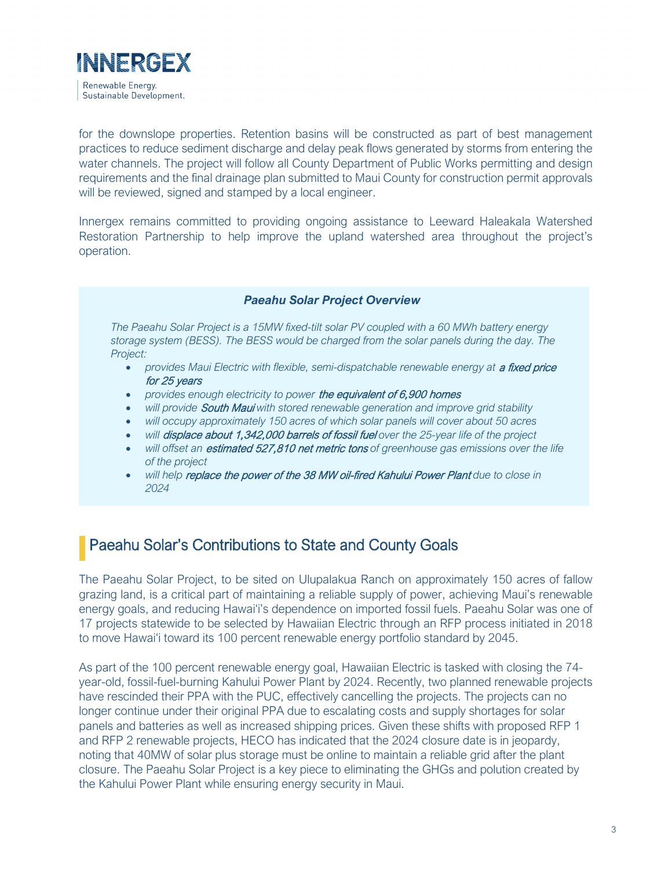

Į

for the downslope properties. Retention basins will be constructed as part of best management practices to reduce sediment discharge and delay peak flows generated by storms from entering the water channels. The project will follow all County Department of Public Works permitting and design requirements and the final drainage plan submitted to Maui County for construction permit approvals will be reviewed, signed and stamped by a local engineer.

Innergex remains committed to providing ongoing assistance to Leeward Haleakala Watershed Restoration Partnership to help improve the upland watershed area throughout the project's operation.

### *Paeahu Solar Project Overview*

*The Paeahu Solar Project is a 15MW fixed-tilt solar PV coupled with a 60 MWh battery energy storage system (BESS). The BESS would be charged from the solar panels during the day. The Project:*

- provides Maui Electric with flexible, semi-dispatchable renewable energy at a fixed price for 25 years
- *provides enough electricity to power* the equivalent of 6,900 homes
- *will provide* South Maui *with stored renewable generation and improve grid stability*
- *will occupy approximately 150 acres of which solar panels will cover about 50 acres*
- *will* displace about 1,342,000 barrels of fossil fuel *over the 25-year life of the project*
- *will offset an* estimated 527,810 net metric tons *of greenhouse gas emissions over the life of the project*
- *will help* replace the power of the 38 MW oil-fired Kahului Power Plant *due to close in 2024*

## Paeahu Solar's Contributions to State and County Goals

The Paeahu Solar Project, to be sited on Ulupalakua Ranch on approximately 150 acres of fallow grazing land, is a critical part of maintaining a reliable supply of power, achieving Maui's renewable energy goals, and reducing Hawai'i's dependence on imported fossil fuels. Paeahu Solar was one of 17 projects statewide to be selected by Hawaiian Electric through an RFP process initiated in 2018 to move Hawai'i toward its 100 percent renewable energy portfolio standard by 2045.

As part of the 100 percent renewable energy goal, Hawaiian Electric is tasked with closing the 74 year-old, fossil-fuel-burning Kahului Power Plant by 2024. Recently, two planned renewable projects have rescinded their PPA with the PUC, effectively cancelling the projects. The projects can no longer continue under their original PPA due to escalating costs and supply shortages for solar panels and batteries as well as increased shipping prices. Given these shifts with proposed RFP 1 and RFP 2 renewable projects, HECO has indicated that the 2024 closure date is in jeopardy, noting that 40MW of solar plus storage must be online to maintain a reliable grid after the plant closure. The Paeahu Solar Project is a key piece to eliminating the GHGs and polution created by the Kahului Power Plant while ensuring energy security in Maui.